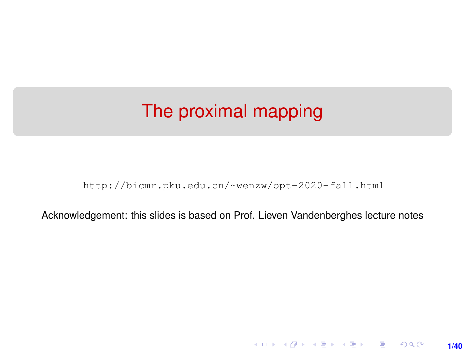# <span id="page-0-0"></span>The proximal mapping

[http://bicmr.pku.edu.cn/~wenzw/opt-2020-fall.html](http://bicmr.pku.edu.cn/~wenzw/opt-2020-fall.html )

Acknowledgement: this slides is based on Prof. Lieven Vandenberghes lecture notes

**1/40**

K ロ ▶ K 레 ▶ K 호 ▶ K 호 ▶ → 호 → 900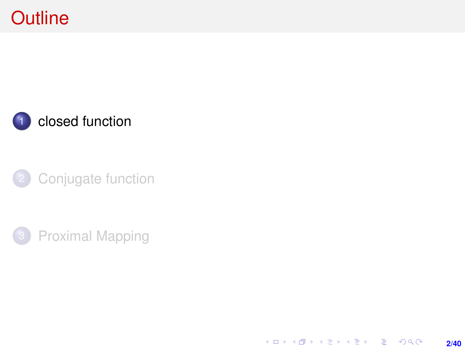# <span id="page-1-0"></span>**Outline**







K ロ ▶ K @ ▶ K 할 ▶ K 할 ▶ | 할 | K 9 Q Q · **2/40**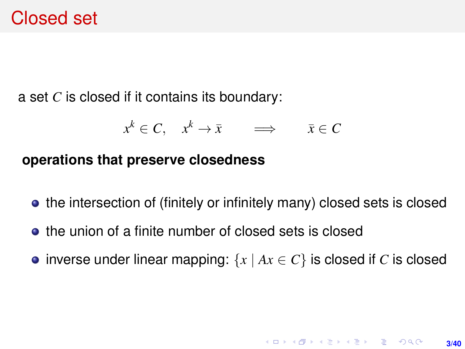## Closed set

a set *C* is closed if it contains its boundary:

$$
x^k \in C, \quad x^k \to \bar{x} \qquad \Longrightarrow \qquad \bar{x} \in C
$$

#### **operations that preserve closedness**

- the intersection of (finitely or infinitely many) closed sets is closed
- the union of a finite number of closed sets is closed
- inverse under linear mapping:  $\{x \mid Ax \in C\}$  is closed if *C* is closed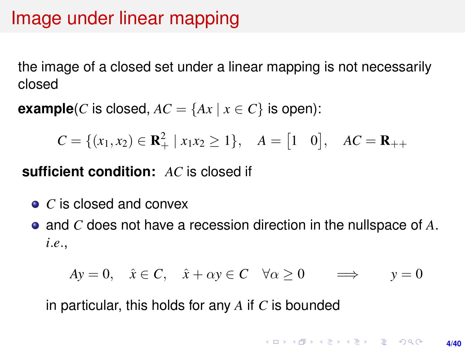## Image under linear mapping

the image of a closed set under a linear mapping is not necessarily closed

**example**(*C* is closed,  $AC = \{Ax \mid x \in C\}$  is open):

$$
C = \{(x_1, x_2) \in \mathbf{R}_+^2 \mid x_1 x_2 \ge 1\}, \quad A = \begin{bmatrix} 1 & 0 \end{bmatrix}, \quad AC = \mathbf{R}_{++}
$$

**sufficient condition:** *AC* is closed if

- *C* is closed and convex
- and *C* does not have a recession direction in the nullspace of *A*. *i*.*e*.,

$$
Ay = 0, \quad \hat{x} \in C, \quad \hat{x} + \alpha y \in C \quad \forall \alpha \ge 0 \quad \implies \quad y = 0
$$

in particular, this holds for any *A* if *C* is bounded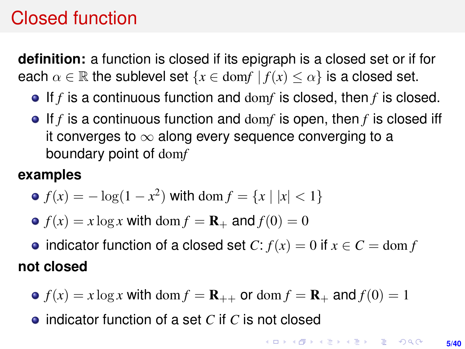# Closed function

**definition:** a function is closed if its epigraph is a closed set or if for each  $\alpha \in \mathbb{R}$  the sublevel set  $\{x \in \text{dom}f \mid f(x) \leq \alpha\}$  is a closed set.

- If *f* is a continuous function and dom*f* is closed, then *f* is closed.
- If *f* is a continuous function and dom*f* is open, then *f* is closed iff it converges to  $\infty$  along every sequence converging to a boundary point of dom*f*

### **examples**

- $f(x) = -\log(1 x^2)$  with dom  $f = \{x \mid |x| < 1\}$
- $f(x) = x \log x$  with dom  $f = \mathbf{R}_+$  and  $f(0) = 0$
- indicator function of a closed set  $C: f(x) = 0$  if  $x \in C = \text{dom } f$ **not closed**
	- $f(x) = x \log x$  with dom  $f = \mathbf{R}_{++}$  or dom  $f = \mathbf{R}_{+}$  and  $f(0) = 1$
	- indicator function of a set *C* if *C* is not closed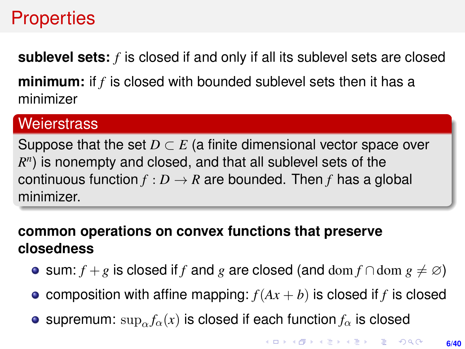## **Properties**

**sublevel sets:** *f* is closed if and only if all its sublevel sets are closed

**minimum:** if *f* is closed with bounded sublevel sets then it has a minimizer

#### **Weierstrass**

Suppose that the set  $D \subset E$  (a finite dimensional vector space over  $R<sup>n</sup>$ ) is nonempty and closed, and that all sublevel sets of the continuous function  $f: D \to R$  are bounded. Then *f* has a global minimizer.

### **common operations on convex functions that preserve closedness**

- **•** sum: *f* + *g* is closed if *f* and *g* are closed (and dom *f* ∩dom  $g \neq \emptyset$ )
- composition with affine mapping:  $f(Ax + b)$  is closed if *f* is closed
- **e** supremum:  $\sup_{\alpha} f_{\alpha}(x)$  is closed if each function  $f_{\alpha}$  is closed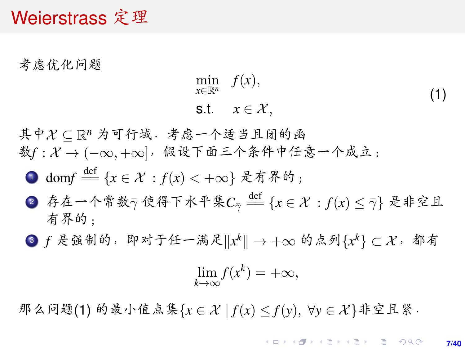### <span id="page-6-1"></span>Weierstrass 定理

<sup>考</sup>虑优化问题

<span id="page-6-0"></span>
$$
\min_{x \in \mathbb{R}^n} f(x),
$$
  
s.t.  $x \in \mathcal{X},$  (1)

其中 X ⊆ R<sup>n</sup> 为可行域. 考虑一个适当且闭的函<br>数f · Y → (- m +m). 假设下面三个冬件中仔  $\frac{d}{dt} f: \mathcal{X} \rightarrow (-\infty, +\infty]$ , 假设下面三个条件中任意一个成立:

1 dom $f \stackrel{\text{def}}{=} \{x \in \mathcal{X} : f(x) < +\infty\}$  是有界的;

- 2 存在一个常数γ使得下水平集 $C_{\bar{\gamma}}\stackrel{{\rm def}}{=\!\!=} \{x\in {\cal X}: f(x)\leq \bar{\gamma}\}$ 是非空且 有界的;
- 3 *f* 是强制的,即对于任一满足 $\Vert x^k \Vert \to +\infty$  的点列 $\{x^k\} \subset \mathcal{X}$ ,都有

$$
\lim_{k \to \infty} f(x^k) = +\infty,
$$

<sup>那</sup>么问题[\(1\)](#page-6-0) <sup>的</sup>最小值点集{*<sup>x</sup>* ∈ X | *<sup>f</sup>*(*x*) <sup>≤</sup> *<sup>f</sup>*(*y*), <sup>∀</sup>*<sup>y</sup>* ∈ X }非空且紧.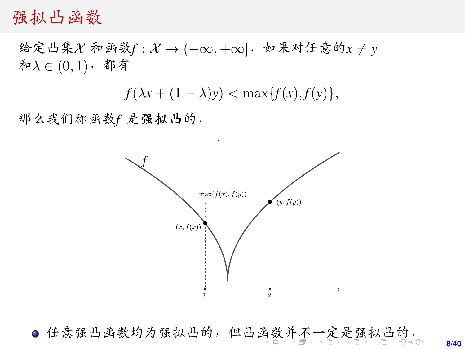### <span id="page-7-0"></span>强拟凸函<sup>数</sup>

给定凸集 $X$  和函数 $f: X → (-\infty, +\infty]$ . 如果对任意的 $x \neq y$  $\hat{\pi}\lambda \in (0,1)$ , 都有

 $f(\lambda x + (1 - \lambda)y) < \max\{f(x), f(y)\},\$ 

<sup>那</sup>么我们称函数*<sup>f</sup>* <sup>是</sup>强拟凸的.



● 任意强凸[函](#page-6-1)数均为强拟凸的,但凸函数[并](#page-6-1)[不](#page-7-0)[一](#page-0-0)[定](#page-39-0)[是](#page-0-0)[强](#page-39-0)[拟](#page-0-0)[凸](#page-39-0)的。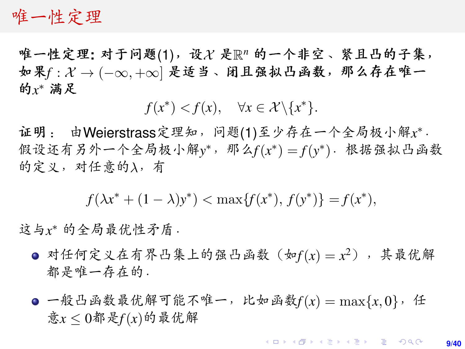### <span id="page-8-0"></span>唯一性定理

唯一性定理: 对于问题[\(1\)](#page-6-0),设 X 是 $\R^n$  的一个非空、紧且凸的子集,<br>如果f· X → (- m + m) 是话当、闭目强拟凸函数,那么存在唯一 <sup>如</sup>果*<sup>f</sup>* : X → (−∞, <sup>+</sup>∞] <sup>是</sup>适当、闭且强拟凸函数,那么存在唯<sup>一</sup> 的 *x* \* 满足

 $f(x^*) < f(x), \quad \forall x \in \mathcal{X} \backslash \{x^*\}.$ 

证明: 由Weierstrass定理知, 问题[\(1\)](#page-6-0)至少存在一个全局极小解x\*.<br>假设还有另外一个全局极小解v\*, 那么f(x\*) - f(v\*), 根据强拟凸函数 假设还有另外一个全局极小解y\*,那么 $f(x^*) = f(y^*)$ · 根据强拟凸函数 的定义,对任意的λ,有

 $f(\lambda x^* + (1 - \lambda)y^*) < \max\{f(x^*), f(y^*)\} = f(x^*),$ 

这与x\* 的全局最优性矛盾.

- 对任何定义在有界凸集上的强凸函数(如 $f(x) = x^2$ ),其最优解 都是唯一存在的.
- **●一般凸函数最优解可能不唯一,比如函数** $f(x) = \max\{x, 0\}$ **,任**  $\frac{2}{5x}$ < $0$ 都是 $f(x)$ 的最优解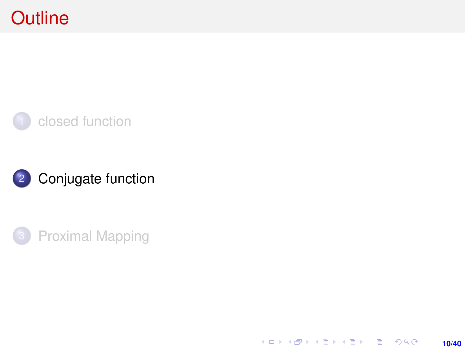# <span id="page-9-0"></span>**Outline**







K ロ X (日) X (日) X (日) X (日) X (日) X (日) X (日) X (日) X (日) X (日) X (日) **10/40**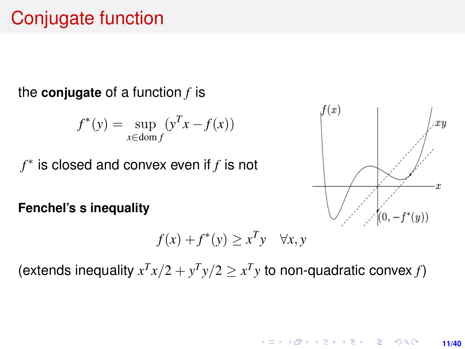## Conjugate function

#### the **conjugate** of a function *f* is

$$
f^*(y) = \sup_{x \in \text{dom } f} (y^T x - f(x))
$$

*f* ∗ is closed and convex even if *f* is not

**Fenchel's s inequality**

$$
f(x) + f^*(y) \ge x^T y \quad \forall x, y
$$

(extends inequality  $x^T x/2 + y^T y/2 \ge x^T y$  to non-quadratic convex *f*)

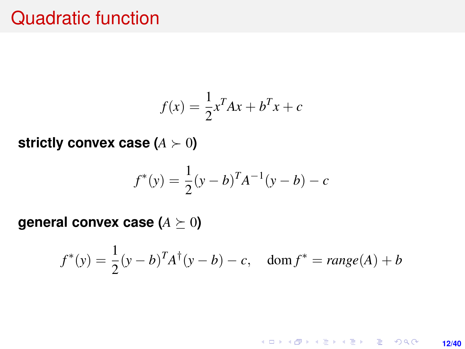## Quadratic function

$$
f(x) = \frac{1}{2}x^T A x + b^T x + c
$$

**strictly convex case**  $(A \succ 0)$ 

$$
f^*(y) = \frac{1}{2}(y - b)^T A^{-1}(y - b) - c
$$

**general convex case (** $A \succeq 0$ **)** 

$$
f^*(y) = \frac{1}{2}(y - b)^T A^{\dagger}(y - b) - c
$$
, dom  $f^* = \text{range}(A) + b$ 

K ロ > K @ > K 할 > K 할 > → 할 → 9 Q @ **12/40**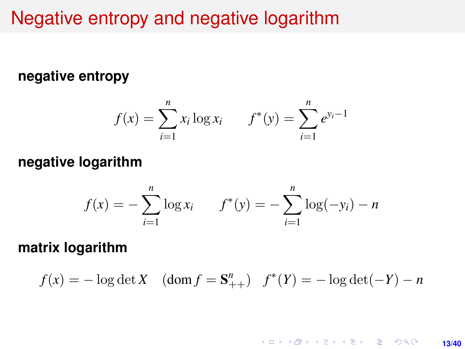## Negative entropy and negative logarithm

#### **negative entropy**

$$
f(x) = \sum_{i=1}^{n} x_i \log x_i \qquad f^*(y) = \sum_{i=1}^{n} e^{y_i - 1}
$$

#### **negative logarithm**

$$
f(x) = -\sum_{i=1}^{n} \log x_i \qquad f^*(y) = -\sum_{i=1}^{n} \log(-y_i) - n
$$

**matrix logarithm**

$$
f(x) = -\log \det X
$$
 (dom  $f = \mathbf{S}_{++}^n$ )  $f^*(Y) = -\log \det(-Y) - n$ 

**KOD KAP KED KED E YORA 13/40**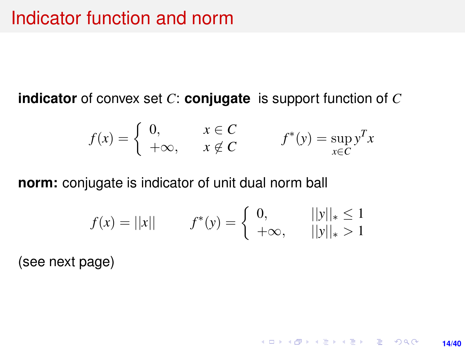**indicator** of convex set *C*: **conjugate** is support function of *C*

$$
f(x) = \begin{cases} 0, & x \in C \\ +\infty, & x \notin C \end{cases} \qquad f^*(y) = \sup_{x \in C} y^T x
$$

**norm:** conjugate is indicator of unit dual norm ball

$$
f(x) = ||x|| \qquad f^*(y) = \begin{cases} 0, & ||y||_* \le 1 \\ +\infty, & ||y||_* > 1 \end{cases}
$$

**14/40**

K ロ ▶ K @ ▶ K 할 ▶ K 할 ▶ ... 할 → 9 Q @

(see next page)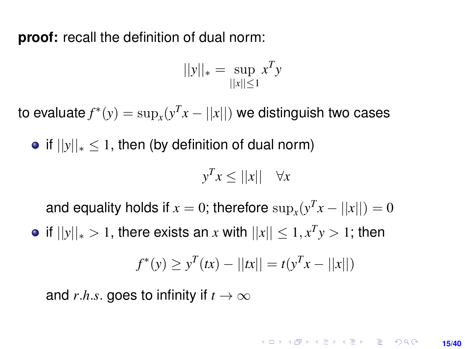**proof:** recall the definition of dual norm:

$$
||y||_* = \sup_{||x|| \le 1} x^T y
$$

to evaluate  $f^*(y) = \sup_x (y^T x - ||x||)$  we distinguish two cases

• if  $||y||_* \le 1$ , then (by definition of dual norm)

$$
y^T x \le ||x|| \quad \forall x
$$

and equality holds if  $x = 0$ ; therefore  $\sup_x(y^T x - ||x||) = 0$ 

 $|f||y||_* > 1$ , there exists an  $x$  with  $||x|| \leq 1, x^T y > 1$ ; then

$$
f^*(y) \ge y^T(tx) - ||tx|| = t(y^Tx - ||x||)
$$

and *r.h.s.* goes to infinity if  $t \to \infty$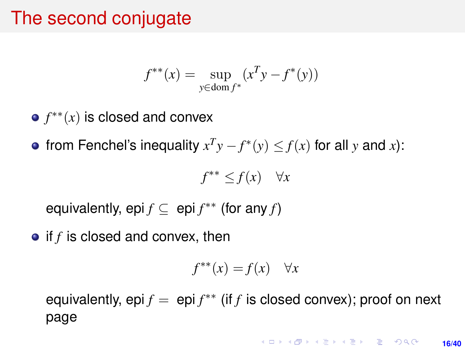## The second conjugate

$$
f^{**}(x) = \sup_{y \in \text{dom } f^*} (x^T y - f^*(y))
$$

- *f* ∗∗(*x*) is closed and convex
- from Fenchel's inequality  $x^T y f^*(y) \leq f(x)$  for all *y* and *x*):

$$
f^{**} \le f(x) \quad \forall x
$$

equivalently, epi  $f \subseteq$  epi  $f^{**}$  (for any  $f$ )

• if *f* is closed and convex, then

$$
f^{**}(x) = f(x) \quad \forall x
$$

equivalently, epi  $f = epi f^{**}$  (if  $f$  is closed convex); proof on next page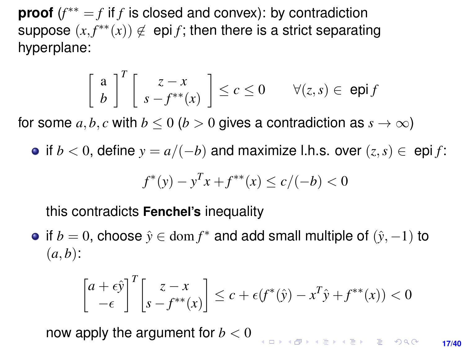**proof** (*f* ∗∗ = *f* if *f* is closed and convex): by contradiction suppose  $(x, f^{**}(x)) \notin$  epi *f*; then there is a strict separating hyperplane:

$$
\left[\begin{array}{c} a \\ b \end{array}\right]^T \left[\begin{array}{c} z - x \\ s - f^{**}(x) \end{array}\right] \le c \le 0 \qquad \forall (z, s) \in \text{ epi } f
$$

for some  $a, b, c$  with  $b \le 0$  ( $b > 0$  gives a contradiction as  $s \to \infty$ )

• if  $b < 0$ , define  $y = a/(-b)$  and maximize l.h.s. over  $(z, s) \in$  epi *f*:

$$
f^*(y) - y^T x + f^{**}(x) \le c/(-b) < 0
$$

this contradicts **Fenchel's** inequality

if  $b = 0$ , choose  $\hat{y} \in \text{dom } f^*$  and add small multiple of  $(\hat{y}, -1)$  to  $(a, b)$ :

$$
\begin{bmatrix} a+\epsilon \hat{y} \\ -\epsilon \end{bmatrix}^T \begin{bmatrix} z-x \\ s-f^{**}(x) \end{bmatrix} \le c + \epsilon(f^*(\hat{y}) - x^T \hat{y} + f^{**}(x)) < 0
$$

now apply the argument for  $b < 0$ 

**ALD REAR AND A SHOP 17/40**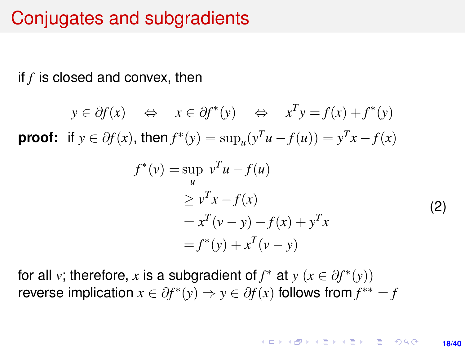## Conjugates and subgradients

if *f* is closed and convex, then

$$
y \in \partial f(x) \iff x \in \partial f^*(y) \iff x^T y = f(x) + f^*(y)
$$

**proof:** if  $y \in \partial f(x)$ , then  $f^*(y) = \sup_u (y^T u - f(u)) = y^T x - f(x)$ 

$$
f^*(v) = \sup_u v^T u - f(u)
$$
  
\n
$$
\ge v^T x - f(x)
$$
  
\n
$$
= x^T (v - y) - f(x) + y^T x
$$
  
\n
$$
= f^*(y) + x^T (v - y)
$$
\n(2)

for all *v*; therefore, *x* is a subgradient of  $f^*$  at  $y$  ( $x \in \partial f^*(y)$ ) reverse implication  $x \in \partial f^*(y) \Rightarrow y \in \partial f(x)$  follows from  $f^{**} = f$ 

> KORK ERKER ERKER **18/40**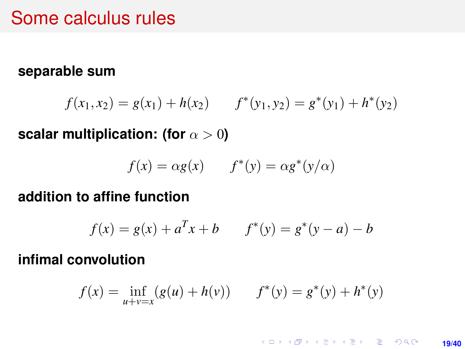### Some calculus rules

#### **separable sum**

$$
f(x_1, x_2) = g(x_1) + h(x_2) \qquad f^*(y_1, y_2) = g^*(y_1) + h^*(y_2)
$$

**scalar multiplication: (for**  $\alpha > 0$ )

$$
f(x) = \alpha g(x) \qquad f^*(y) = \alpha g^*(y/\alpha)
$$

#### **addition to affine function**

$$
f(x) = g(x) + a^{T}x + b \qquad f^*(y) = g^*(y - a) - b
$$

#### **infimal convolution**

$$
f(x) = \inf_{u+v=x} (g(u) + h(v)) \qquad f^*(y) = g^*(y) + h^*(y)
$$

K ロ ▶ K @ ▶ K 할 ▶ K 할 ▶ 이 할 → 9 Q @ **19/40**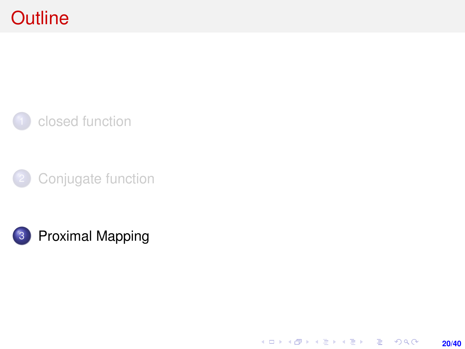# <span id="page-19-0"></span>**Outline**







**20/40**

K ロ X (日) X (日) X (日) X (日) X (日) X (日) X (日) X (日) X (日) X (日) X (日)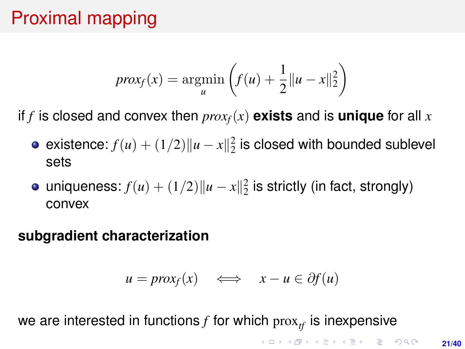# Proximal mapping

$$
prox_f(x) = \operatorname*{argmin}_{u} \left( f(u) + \frac{1}{2} ||u - x||_2^2 \right)
$$

if *f* is closed and convex then  $prox_f(x)$  exists and is unique for all x

- existence:  $f(u) + (1/2) ||u x||_2^2$  is closed with bounded sublevel sets
- uniqueness:  $f(u) + (1/2) ||u x||_2^2$  is strictly (in fact, strongly) convex

#### **subgradient characterization**

$$
u = prox_f(x) \iff x - u \in \partial f(u)
$$

we are interested in functions  $f$  for which  $prox_{tf}$  is inexpensive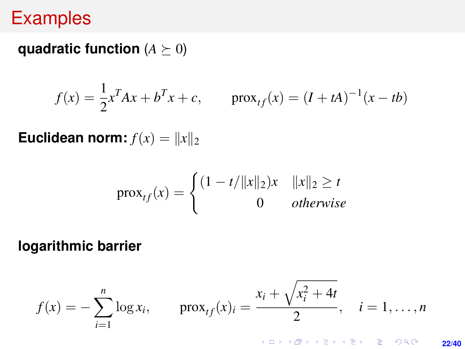## **Examples**

**quadratic function**  $(A \succeq 0)$ 

$$
f(x) = \frac{1}{2}x^{T}Ax + b^{T}x + c, \quad \text{prox}_{tf}(x) = (I + tA)^{-1}(x - tb)
$$

**Euclidean norm:**  $f(x) = ||x||_2$ 

$$
\text{prox}_{tf}(x) = \begin{cases} (1 - t/||x||_2)x & ||x||_2 \ge t \\ 0 & otherwise \end{cases}
$$

**logarithmic barrier**

$$
f(x) = -\sum_{i=1}^{n} \log x_i, \qquad \text{prox}_{tf}(x)_i = \frac{x_i + \sqrt{x_i^2 + 4t}}{2}, \quad i = 1, \dots, n
$$

**22/40**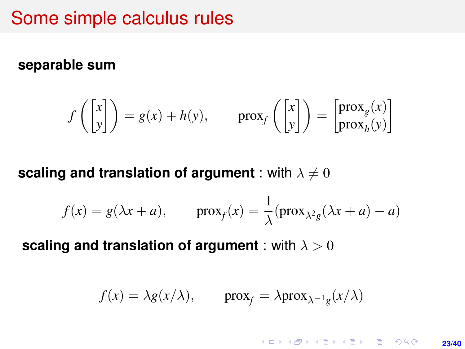## Some simple calculus rules

#### <span id="page-22-0"></span>**separable sum**

$$
f\left(\begin{bmatrix} x \\ y \end{bmatrix}\right) = g(x) + h(y), \quad \text{prox}_{f}\left(\begin{bmatrix} x \\ y \end{bmatrix}\right) = \begin{bmatrix} \text{prox}_{g}(x) \\ \text{prox}_{h}(y) \end{bmatrix}
$$

**scaling and translation of argument** : with  $\lambda \neq 0$ 

$$
f(x) = g(\lambda x + a),
$$
  $prox_f(x) = \frac{1}{\lambda} (prox_{\lambda^2 g}(\lambda x + a) - a)$ 

**scaling and translation of argument** : with  $λ > 0$ 

$$
f(x) = \lambda g(x/\lambda), \quad \text{prox}_f = \lambda \text{prox}_{\lambda^{-1}g}(x/\lambda)
$$

**KORKARK KERKER DRAM 23/40**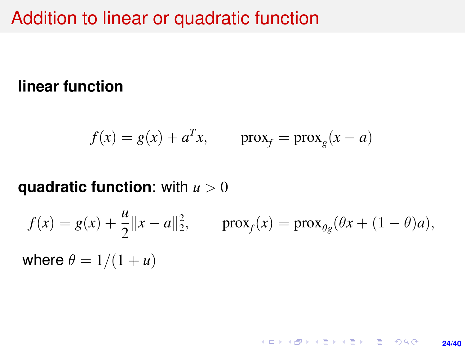## Addition to linear or quadratic function

### **linear function**

$$
f(x) = g(x) + a^T x, \qquad \text{prox}_f = \text{prox}_g(x - a)
$$

### **quadratic function**: with *u* > 0

$$
f(x) = g(x) + \frac{u}{2} ||x - a||_2^2
$$
,  $prox_f(x) = prox_{\theta g} (\theta x + (1 - \theta)a)$ ,  
where  $\theta = 1/(1 + u)$ 

**24/40**

K ロ ▶ K @ ▶ K 할 ▶ K 할 ▶ ... 할 → 9 Q @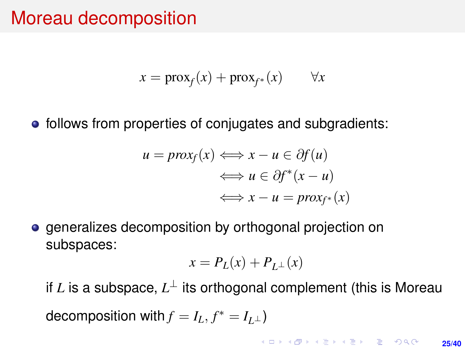## Moreau decomposition

$$
x = \text{prox}_f(x) + \text{prox}_{f^*}(x) \qquad \forall x
$$

• follows from properties of conjugates and subgradients:

$$
u = prox_f(x) \iff x - u \in \partial f(u)
$$
  

$$
\iff u \in \partial f^*(x - u)
$$
  

$$
\iff x - u = prox_{f^*}(x)
$$

**e** generalizes decomposition by orthogonal projection on subspaces:

$$
x = P_L(x) + P_{L^{\perp}}(x)
$$

if  $L$  is a subspace,  $L^\perp$  its orthogonal complement (this is Moreau decomposition with  $f = I_L, f^* = I_{L^{\perp}}$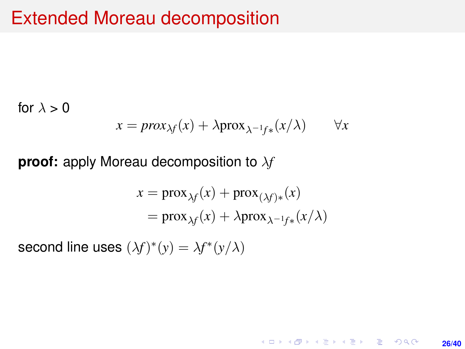## Extended Moreau decomposition

for  $\lambda > 0$ 

$$
x = prox_{\lambda f}(x) + \lambda prox_{\lambda^{-1}f^*}(x/\lambda) \qquad \forall x
$$

**proof:** apply Moreau decomposition to λ*f*

$$
x = \text{prox}_{\lambda f}(x) + \text{prox}_{(\lambda f)*}(x)
$$
  
= 
$$
\text{prox}_{\lambda f}(x) + \lambda \text{prox}_{\lambda^{-1}f*}(x/\lambda)
$$

**26/40**

KO KARK KEK LE KORA

second line uses  $(\lambda f)^*(y) = \lambda f^*(y/\lambda)$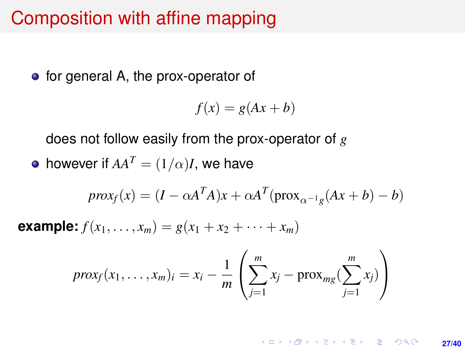## Composition with affine mapping

• for general A, the prox-operator of

$$
f(x) = g(Ax + b)
$$

does not follow easily from the prox-operator of *g*

• however if 
$$
AA^T = (1/\alpha)I
$$
, we have

$$
prox_f(x) = (I - \alpha A^T A)x + \alpha A^T (prox_{\alpha^{-1}g}(Ax + b) - b)
$$

**example:**  $f(x_1, \ldots, x_m) = g(x_1 + x_2 + \cdots + x_m)$ 

$$
prox_f(x_1,\ldots,x_m)_i = x_i - \frac{1}{m} \left( \sum_{j=1}^m x_j - \text{prox}_{mg}(\sum_{j=1}^m x_j) \right)
$$

**KORKARK KERKER DRAM 27/40**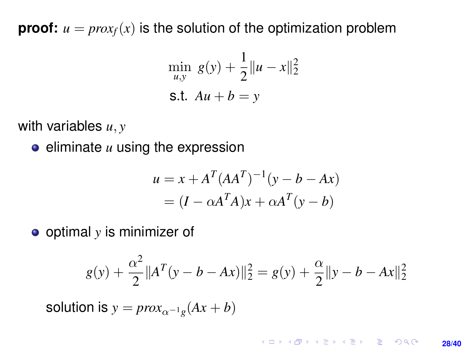**proof:**  $u = prox_f(x)$  is the solution of the optimization problem

$$
\min_{u,y} g(y) + \frac{1}{2} ||u - x||_2^2
$$
  
s.t.  $Au + b = y$ 

with variables *u*, *y*

 $\bullet$  eliminate  $u$  using the expression

$$
u = x + AT (AAT)-1 (y - b - Ax)
$$

$$
= (I - \alpha AT A)x + \alpha AT (y - b)
$$

optimal *y* is minimizer of

$$
g(y) + \frac{\alpha^2}{2} ||A^T (y - b - Ax)||_2^2 = g(y) + \frac{\alpha}{2} ||y - b - Ax||_2^2
$$

solution is  $y = prox_{\alpha^{-1}g}(Ax + b)$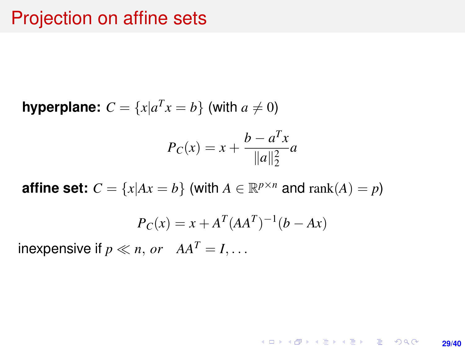## Projection on affine sets

**hyperplane:**  $C = \{x | a^T x = b\}$  (with  $a \neq 0$ )

$$
P_C(x) = x + \frac{b - a^T x}{\|a\|_2^2} a
$$

**affine set:**  $C = \{x | Ax = b\}$  (with  $A \in \mathbb{R}^{p \times n}$  and  $\text{rank}(A) = p$ )

$$
P_C(x) = x + A^T (AA^T)^{-1} (b - Ax)
$$

**29/40**

**KORKARK KERKER DRAM** 

inexpensive if  $p \ll n$ , or  $AA^T = I$ ,...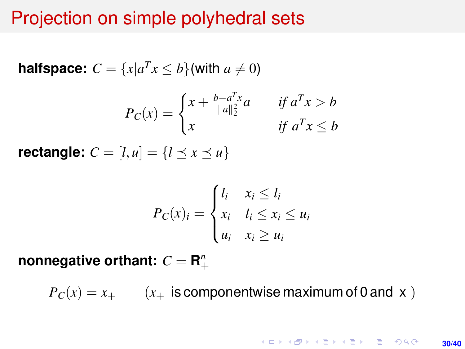## Projection on simple polyhedral sets

**halfspace:** 
$$
C = \{x | a^T x \le b\}
$$
 (with  $a \ne 0$ )

$$
P_C(x) = \begin{cases} x + \frac{b - a^T x}{\|a\|_2^2} a & \text{if } a^T x > b \\ x & \text{if } a^T x \le b \end{cases}
$$

**rectangle:**  $C = [l, u] = \{l \le x \le u\}$ 

$$
P_C(x)_i = \begin{cases} l_i & x_i \le l_i \\ x_i & l_i \le x_i \le u_i \\ u_i & x_i \ge u_i \end{cases}
$$

 $$ 

 $P_C(x) = x_+$  ( $x_+$  is componentwise maximum of 0 and x)

KO KKO KABIKA BIKA 2000 **30/40**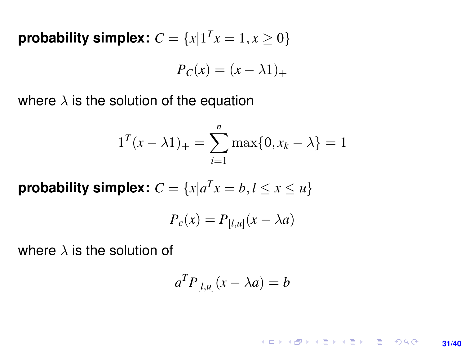**probability simplex:**  $C = \{x | 1^T x = 1, x \ge 0\}$ 

$$
P_C(x) = (x - \lambda 1)_+
$$

where  $\lambda$  is the solution of the equation

$$
1^{T}(x - \lambda 1)_{+} = \sum_{i=1}^{n} \max\{0, x_{k} - \lambda\} = 1
$$

**probability simplex:**  $C = \{x | a^T x = b, l \le x \le u\}$ 

$$
P_c(x) = P_{[l,u]}(x - \lambda a)
$$

where  $\lambda$  is the solution of

$$
a^T P_{[l,u]}(x - \lambda a) = b
$$

**KORKARK KERKER DRAM 31/40**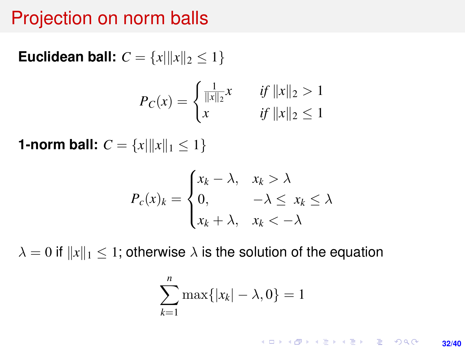## Projection on norm balls

**Euclidean ball:**  $C = \{x | ||x||_2 \le 1\}$ 

$$
P_C(x) = \begin{cases} \frac{1}{\|x\|_2}x & \text{if } \|x\|_2 > 1\\ x & \text{if } \|x\|_2 \le 1 \end{cases}
$$

**1-norm ball:**  $C = \{x | ||x||_1 \leq 1\}$ 

$$
P_c(x)_k = \begin{cases} x_k - \lambda, & x_k > \lambda \\ 0, & -\lambda \le x_k \le \lambda \\ x_k + \lambda, & x_k < -\lambda \end{cases}
$$

 $\lambda = 0$  if  $||x||_1 \leq 1$ ; otherwise  $\lambda$  is the solution of the equation

$$
\sum_{k=1}^n \max\{|x_k| - \lambda, 0\} = 1
$$

K ロ ▶ K @ ▶ K 할 ▶ K 할 ▶ 이 할 → 9 Q @ **32/40**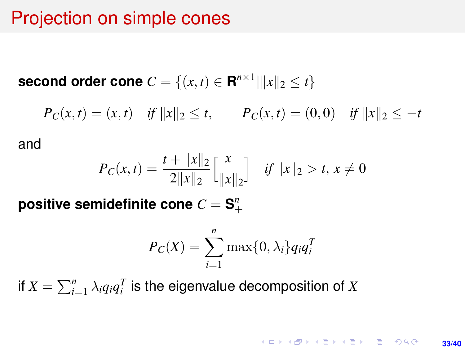## Projection on simple cones

**second order cone**  $C = \{(x, t) \in \mathbb{R}^{n \times 1} | \|x\|_2 \le t\}$ 

 $P_C(x,t) = (x,t)$  *if*  $||x||_2 \le t$ ,  $P_C(x,t) = (0,0)$  *if*  $||x||_2 \le -t$ 

and

$$
P_C(x,t) = \frac{t + ||x||_2}{2||x||_2} \begin{bmatrix} x \\ ||x||_2 \end{bmatrix} \quad \text{if } ||x||_2 > t, \, x \neq 0
$$

positive semidefinite cone  $C = \mathbf{S}^n_+$ 

$$
P_C(X) = \sum_{i=1}^{n} \max\{0, \lambda_i\} q_i q_i^T
$$

if  $X = \sum_{i=1}^n \lambda_i q_i q_i^T$  is the eigenvalue decomposition of  $X$ 

**KORKAR KERKER E VOOR 33/40**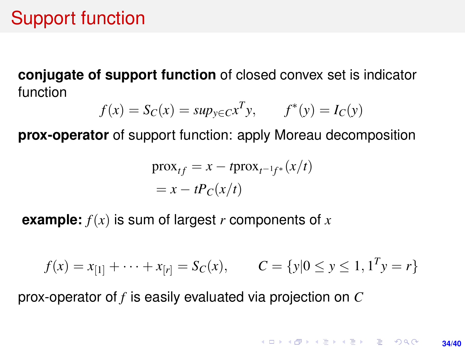# Support function

**conjugate of support function** of closed convex set is indicator function

$$
f(x) = S_C(x) = \sup_{y \in C} x^T y, \qquad f^*(y) = I_C(y)
$$

**prox-operator** of support function: apply Moreau decomposition

$$
\begin{aligned} \text{prox}_{tf} &= x - t \text{prox}_{t^{-1}f^*}(x/t) \\ &= x - tP_C(x/t) \end{aligned}
$$

**example:** *f*(*x*) is sum of largest *r* components of *x*

$$
f(x) = x_{[1]} + \dots + x_{[r]} = S_C(x), \qquad C = \{y | 0 \le y \le 1, 1^T y = r\}
$$

prox-operator of *f* is easily evaluated via projection on *C*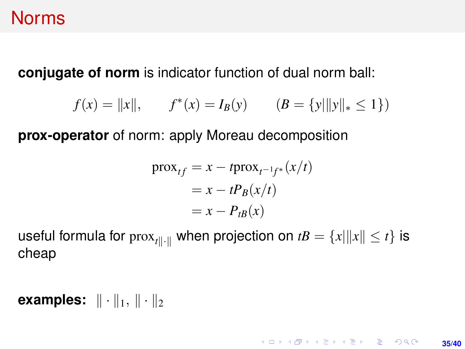## **Norms**

**conjugate of norm** is indicator function of dual norm ball:

$$
f(x) = ||x||,
$$
  $f^*(x) = I_B(y)$   $(B = {y||y||_* \le 1})$ 

**prox-operator** of norm: apply Moreau decomposition

$$
\begin{aligned} \text{prox}_{tf} &= x - t \text{prox}_{t^{-1}f^*}(x/t) \\ &= x - t P_B(x/t) \\ &= x - P_{tB}(x) \end{aligned}
$$

**35/40**

**KORKARKKERK E VAN** 

useful formula for  $prox_{t\|\cdot\|}$  when projection on  $tB = \{x\| \|x\| \le t\}$  is cheap

**examples:**  $\|\cdot\|_1, \|\cdot\|_2$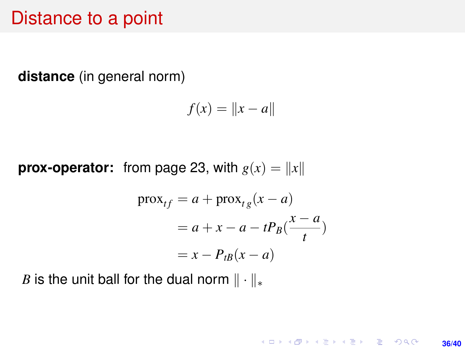### Distance to a point

**distance** (in general norm)

$$
f(x) = \|x - a\|
$$

**prox-operator:** from page [23,](#page-22-0) with  $g(x) = ||x||$ 

$$
\begin{aligned} \text{prox}_{tf} &= a + \text{prox}_{tg}(x - a) \\ &= a + x - a - tP_B(\frac{x - a}{t}) \\ &= x - P_{tB}(x - a) \end{aligned}
$$

*B* is the unit ball for the dual norm  $\|\cdot\|_*$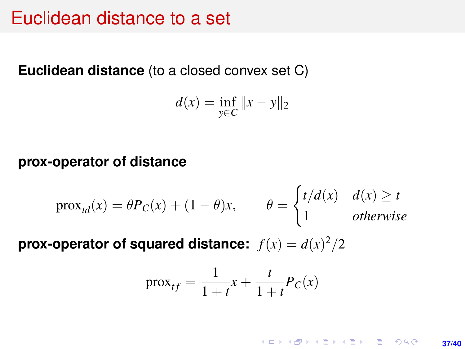### Euclidean distance to a set

#### **Euclidean distance** (to a closed convex set C)

$$
d(x) = \inf_{y \in C} ||x - y||_2
$$

#### **prox-operator of distance**

$$
\text{prox}_{td}(x) = \theta P_C(x) + (1 - \theta)x, \qquad \theta = \begin{cases} t/d(x) & d(x) \ge t \\ 1 & \text{otherwise} \end{cases}
$$

**prox-operator of squared distance:**  $f(x) = d(x)^2/2$ 

$$
prox_{tf} = \frac{1}{1+t}x + \frac{t}{1+t}P_C(x)
$$

**KORKARK KERKER DRAM 37/40**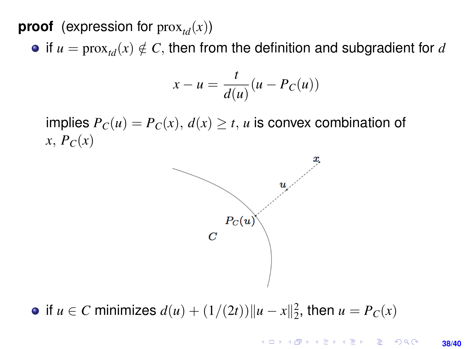**proof** (expression for  $prox_{td}(x)$ )

• if  $u = \text{prox}_{\mathcal{U}}(x) \notin \mathcal{C}$ , then from the definition and subgradient for *d* 

$$
x - u = \frac{t}{d(u)}(u - P_C(u))
$$

implies  $P_C(u) = P_C(x)$ ,  $d(x) \ge t$ , *u* is convex combination of  $x, P_C(x)$ 



if *u* ∈ *C* minimizes  $d(u) + (1/(2t)) ||u - x||_2^2$ , then  $u = P_C(x)$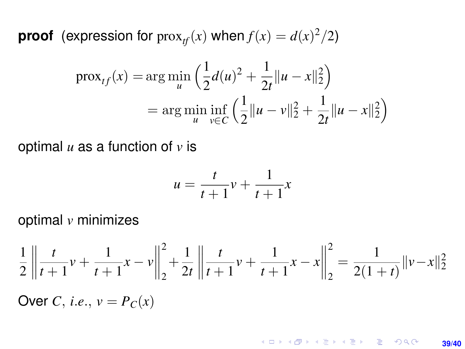**proof** (expression for  $prox_{tf}(x)$  when  $f(x) = d(x)^2/2$ )

$$
\text{prox}_{tf}(x) = \arg\min_{u} \left( \frac{1}{2} d(u)^2 + \frac{1}{2t} ||u - x||_2^2 \right)
$$

$$
= \arg\min_{u} \inf_{v \in C} \left( \frac{1}{2} ||u - v||_2^2 + \frac{1}{2t} ||u - x||_2^2 \right)
$$

optimal *u* as a function of *v* is

$$
u = \frac{t}{t+1}v + \frac{1}{t+1}x
$$

optimal *v* minimizes

$$
\frac{1}{2} \left\| \frac{t}{t+1} v + \frac{1}{t+1} x - v \right\|_{2}^{2} + \frac{1}{2t} \left\| \frac{t}{t+1} v + \frac{1}{t+1} x - x \right\|_{2}^{2} = \frac{1}{2(1+t)} \|v - x\|_{2}^{2}
$$

Over *C*, *i.e.*,  $v = P_C(x)$